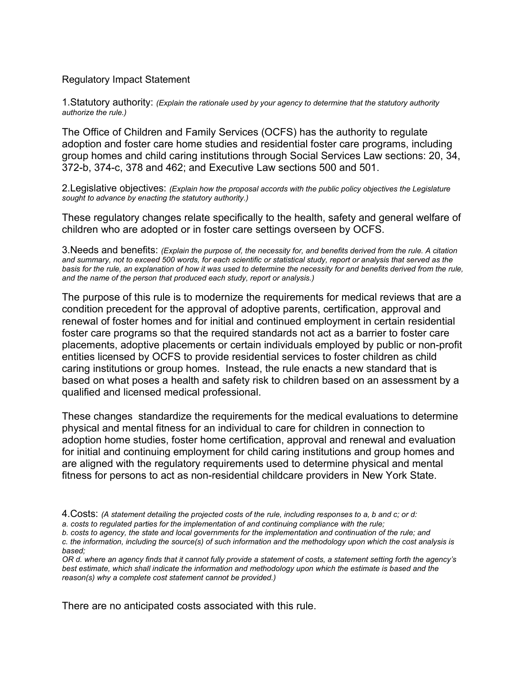## Regulatory Impact Statement

1.Statutory authority: *(Explain the rationale used by your agency to determine that the statutory authority authorize the rule.)* 

The Office of Children and Family Services (OCFS) has the authority to regulate adoption and foster care home studies and residential foster care programs, including group homes and child caring institutions through Social Services Law sections: 20, 34, 372-b, 374-c, 378 and 462; and Executive Law sections 500 and 501.

2.Legislative objectives: *(Explain how the proposal accords with the public policy objectives the Legislature sought to advance by enacting the statutory authority.)* 

These regulatory changes relate specifically to the health, safety and general welfare of children who are adopted or in foster care settings overseen by OCFS.

3.Needs and benefits: *(Explain the purpose of, the necessity for, and benefits derived from the rule. A citation and summary, not to exceed 500 words, for each scientific or statistical study, report or analysis that served as the basis for the rule, an explanation of how it was used to determine the necessity for and benefits derived from the rule, and the name of the person that produced each study, report or analysis.)* 

The purpose of this rule is to modernize the requirements for medical reviews that are a condition precedent for the approval of adoptive parents, certification, approval and renewal of foster homes and for initial and continued employment in certain residential foster care programs so that the required standards not act as a barrier to foster care placements, adoptive placements or certain individuals employed by public or non-profit entities licensed by OCFS to provide residential services to foster children as child caring institutions or group homes. Instead, the rule enacts a new standard that is based on what poses a health and safety risk to children based on an assessment by a qualified and licensed medical professional.

These changes standardize the requirements for the medical evaluations to determine physical and mental fitness for an individual to care for children in connection to adoption home studies, foster home certification, approval and renewal and evaluation for initial and continuing employment for child caring institutions and group homes and are aligned with the regulatory requirements used to determine physical and mental fitness for persons to act as non-residential childcare providers in New York State.

*b. costs to agency, the state and local governments for the implementation and continuation of the rule; and* 

There are no anticipated costs associated with this rule.

<sup>4.</sup>Costs: *(A statement detailing the projected costs of the rule, including responses to a, b and c; or d:* 

*a. costs to regulated parties for the implementation of and continuing compliance with the rule;* 

*c. the information, including the source(s) of such information and the methodology upon which the cost analysis is based;* 

*OR d. where an agency finds that it cannot fully provide a statement of costs, a statement setting forth the agency's best estimate, which shall indicate the information and methodology upon which the estimate is based and the reason(s) why a complete cost statement cannot be provided.)*